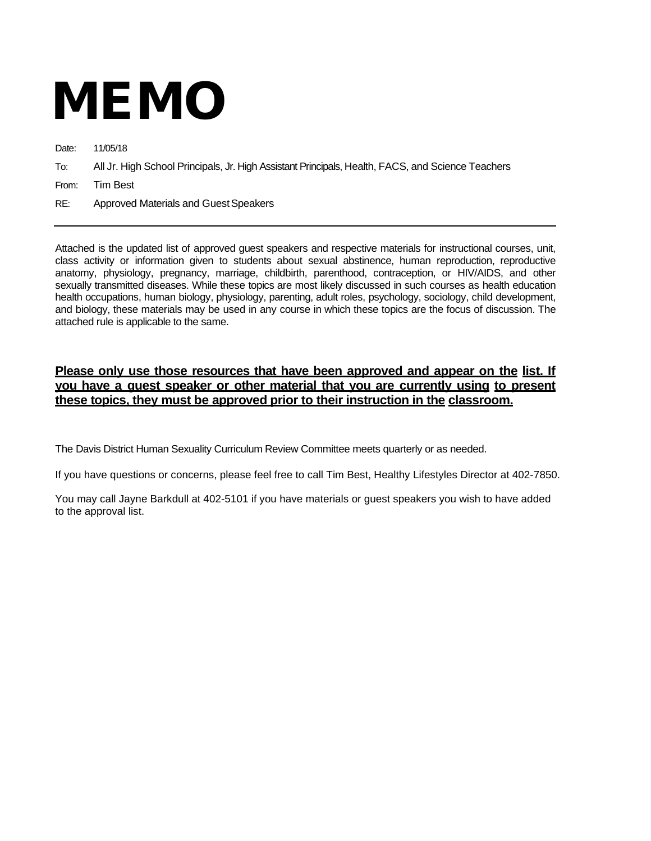# MEMO

Date: 11/05/18

To: All Jr. High School Principals, Jr. High Assistant Principals, Health, FACS, and Science Teachers

From: Tim Best

RE: Approved Materials and Guest Speakers

Attached is the updated list of approved guest speakers and respective materials for instructional courses, unit, class activity or information given to students about sexual abstinence, human reproduction, reproductive anatomy, physiology, pregnancy, marriage, childbirth, parenthood, contraception, or HIV/AIDS, and other sexually transmitted diseases. While these topics are most likely discussed in such courses as health education health occupations, human biology, physiology, parenting, adult roles, psychology, sociology, child development, and biology, these materials may be used in any course in which these topics are the focus of discussion. The attached rule is applicable to the same.

## **Please only use those resources that have been approved and appear on the list. If you have a guest speaker or other material that you are currently using to present these topics, they must be approved prior to their instruction in the classroom.**

The Davis District Human Sexuality Curriculum Review Committee meets quarterly or as needed.

If you have questions or concerns, please feel free to call Tim Best, Healthy Lifestyles Director at 402-7850.

You may call Jayne Barkdull at 402-5101 if you have materials or guest speakers you wish to have added to the approval list.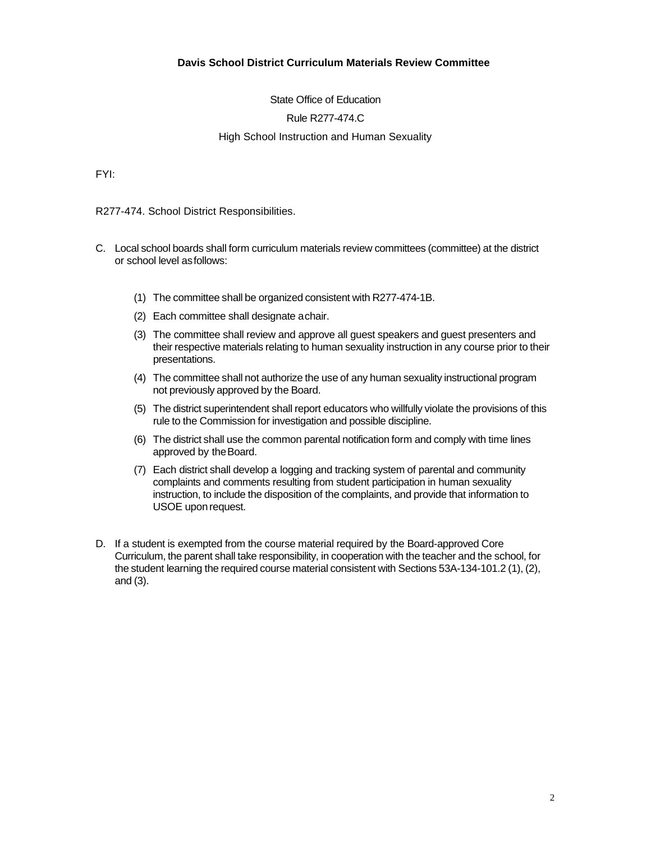### **Davis School District Curriculum Materials Review Committee**

State Office of Education

#### Rule R277-474.C

#### High School Instruction and Human Sexuality

FYI:

R277-474. School District Responsibilities.

- C. Local school boards shall form curriculum materials review committees (committee) at the district or school level asfollows:
	- (1) The committee shall be organized consistent with R277-474-1B.
	- (2) Each committee shall designate achair.
	- (3) The committee shall review and approve all guest speakers and guest presenters and their respective materials relating to human sexuality instruction in any course prior to their presentations.
	- (4) The committee shall not authorize the use of any human sexuality instructional program not previously approved by the Board.
	- (5) The district superintendent shall report educators who willfully violate the provisions of this rule to the Commission for investigation and possible discipline.
	- (6) The district shall use the common parental notification form and comply with time lines approved by the Board.
	- (7) Each district shall develop a logging and tracking system of parental and community complaints and comments resulting from student participation in human sexuality instruction, to include the disposition of the complaints, and provide that information to USOE uponrequest.
- D. If a student is exempted from the course material required by the Board-approved Core Curriculum, the parent shall take responsibility, in cooperation with the teacher and the school, for the student learning the required course material consistent with Sections 53A-134-101.2 (1), (2), and (3).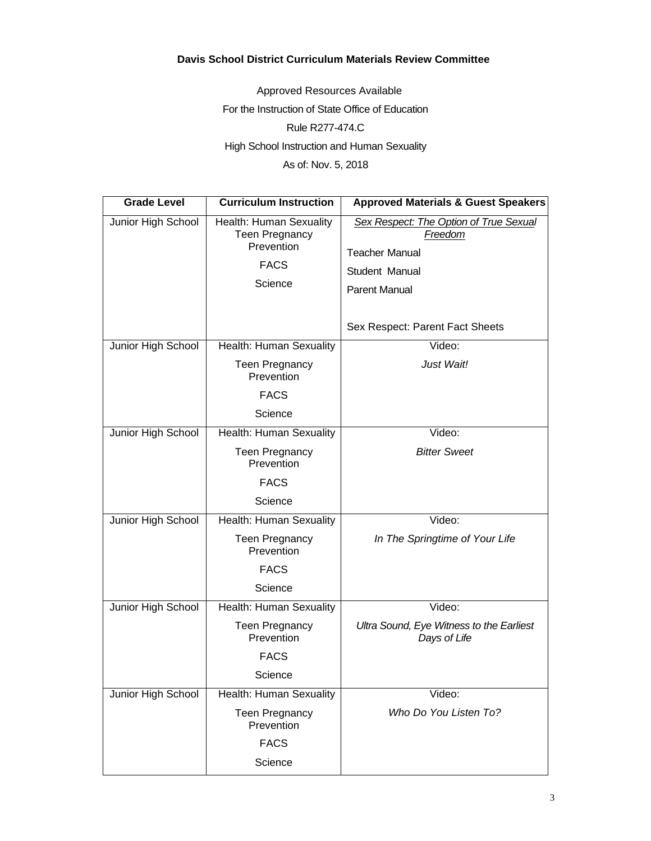## **Davis School District Curriculum Materials Review Committee**

Approved Resources Available For the Instruction of State Office of Education Rule R277-474.C High School Instruction and Human Sexuality As of: Nov. 5, 2018

| <b>Grade Level</b> | <b>Curriculum Instruction</b>                                                     | <b>Approved Materials &amp; Guest Speakers</b>                                                                       |
|--------------------|-----------------------------------------------------------------------------------|----------------------------------------------------------------------------------------------------------------------|
| Junior High School | Health: Human Sexuality<br>Teen Pregnancy<br>Prevention<br><b>FACS</b><br>Science | Sex Respect: The Option of True Sexual<br>Freedom<br><b>Teacher Manual</b><br>Student Manual<br><b>Parent Manual</b> |
|                    | Health: Human Sexuality                                                           | Sex Respect: Parent Fact Sheets<br>Video:                                                                            |
| Junior High School | <b>Teen Pregnancy</b><br>Prevention                                               | Just Wait!                                                                                                           |
|                    | <b>FACS</b><br>Science                                                            |                                                                                                                      |
| Junior High School | Health: Human Sexuality                                                           | Video:                                                                                                               |
|                    | <b>Teen Pregnancy</b><br>Prevention                                               | <b>Bitter Sweet</b>                                                                                                  |
|                    | <b>FACS</b>                                                                       |                                                                                                                      |
|                    | Science                                                                           |                                                                                                                      |
| Junior High School | Health: Human Sexuality                                                           | Video:                                                                                                               |
|                    | <b>Teen Pregnancy</b><br>Prevention                                               | In The Springtime of Your Life                                                                                       |
|                    | <b>FACS</b>                                                                       |                                                                                                                      |
|                    | Science                                                                           |                                                                                                                      |
| Junior High School | Health: Human Sexuality                                                           | Video:                                                                                                               |
|                    | <b>Teen Pregnancy</b><br>Prevention                                               | Ultra Sound, Eye Witness to the Earliest<br>Days of Life                                                             |
|                    | <b>FACS</b>                                                                       |                                                                                                                      |
|                    | Science                                                                           |                                                                                                                      |
| Junior High School | Health: Human Sexuality                                                           | Video:                                                                                                               |
|                    | <b>Teen Pregnancy</b><br>Prevention                                               | Who Do You Listen To?                                                                                                |
|                    | <b>FACS</b>                                                                       |                                                                                                                      |
|                    | Science                                                                           |                                                                                                                      |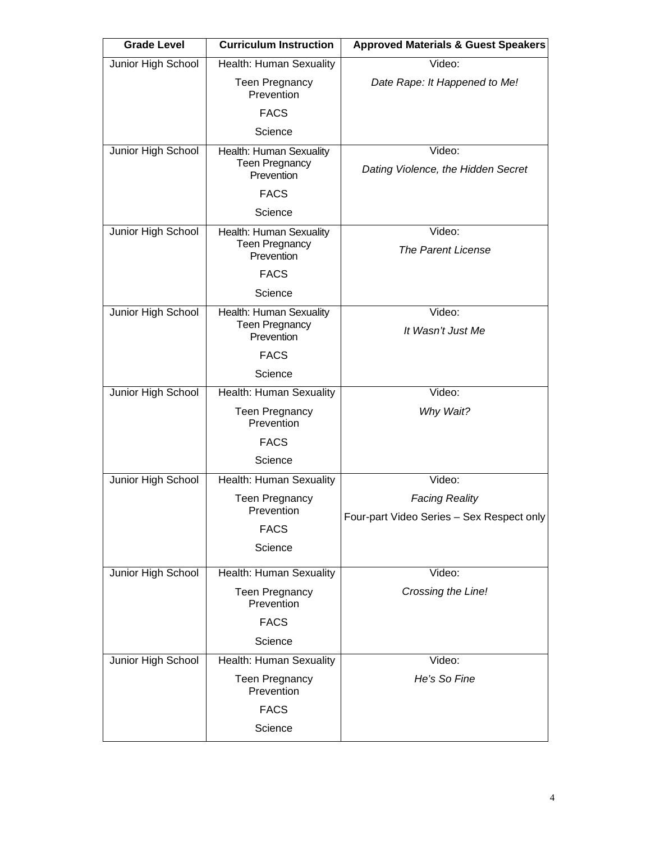| <b>Grade Level</b> | <b>Curriculum Instruction</b>                                  | <b>Approved Materials &amp; Guest Speakers</b> |
|--------------------|----------------------------------------------------------------|------------------------------------------------|
| Junior High School | Health: Human Sexuality                                        | Video:                                         |
|                    | <b>Teen Pregnancy</b><br>Prevention                            | Date Rape: It Happened to Me!                  |
|                    | <b>FACS</b>                                                    |                                                |
|                    | Science                                                        |                                                |
| Junior High School | Health: Human Sexuality<br><b>Teen Pregnancy</b><br>Prevention | Video:<br>Dating Violence, the Hidden Secret   |
|                    | <b>FACS</b>                                                    |                                                |
|                    | Science                                                        |                                                |
| Junior High School | Health: Human Sexuality<br><b>Teen Pregnancy</b><br>Prevention | Video:<br><b>The Parent License</b>            |
|                    | <b>FACS</b>                                                    |                                                |
|                    | Science                                                        |                                                |
| Junior High School | Health: Human Sexuality<br><b>Teen Pregnancy</b><br>Prevention | Video:<br>It Wasn't Just Me                    |
|                    | <b>FACS</b>                                                    |                                                |
|                    | Science                                                        |                                                |
| Junior High School | Health: Human Sexuality                                        | Video:                                         |
|                    | <b>Teen Pregnancy</b><br>Prevention                            | Why Wait?                                      |
|                    | <b>FACS</b>                                                    |                                                |
|                    | Science                                                        |                                                |
| Junior High School | Health: Human Sexuality                                        | Video:                                         |
|                    | <b>Teen Pregnancy</b>                                          | <b>Facing Reality</b>                          |
|                    | Prevention                                                     | Four-part Video Series - Sex Respect only      |
|                    | <b>FACS</b>                                                    |                                                |
|                    | Science                                                        |                                                |
| Junior High School | Health: Human Sexuality                                        | Video:                                         |
|                    | <b>Teen Pregnancy</b><br>Prevention                            | Crossing the Line!                             |
|                    | <b>FACS</b>                                                    |                                                |
|                    | Science                                                        |                                                |
| Junior High School | Health: Human Sexuality                                        | Video:                                         |
|                    | <b>Teen Pregnancy</b><br>Prevention                            | He's So Fine                                   |
|                    | <b>FACS</b>                                                    |                                                |
|                    | Science                                                        |                                                |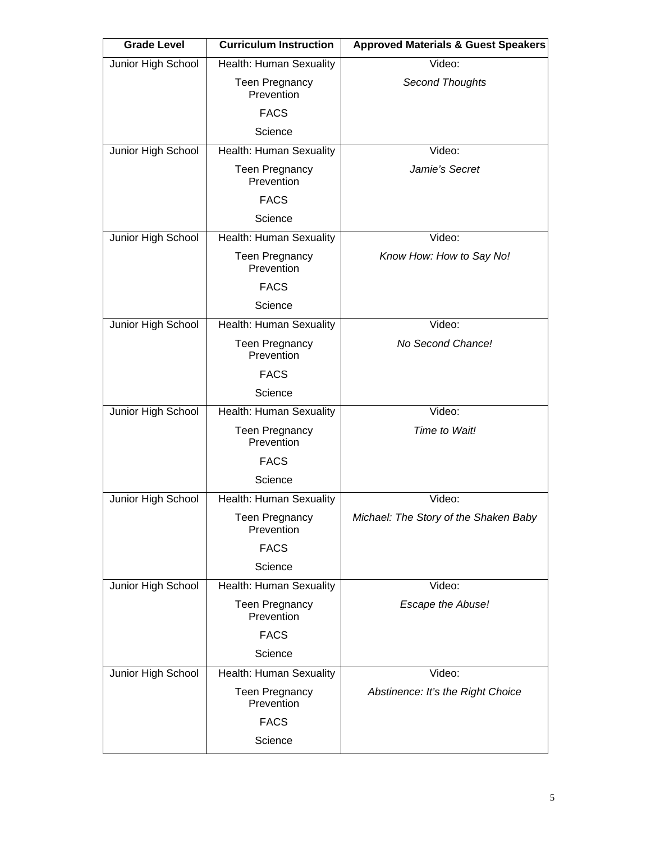| <b>Grade Level</b> | <b>Curriculum Instruction</b>       | <b>Approved Materials &amp; Guest Speakers</b> |
|--------------------|-------------------------------------|------------------------------------------------|
| Junior High School | Health: Human Sexuality             | Video:                                         |
|                    | <b>Teen Pregnancy</b><br>Prevention | Second Thoughts                                |
|                    | <b>FACS</b>                         |                                                |
|                    | Science                             |                                                |
| Junior High School | Health: Human Sexuality             | Video:                                         |
|                    | <b>Teen Pregnancy</b><br>Prevention | Jamie's Secret                                 |
|                    | <b>FACS</b>                         |                                                |
|                    | Science                             |                                                |
| Junior High School | Health: Human Sexuality             | Video:                                         |
|                    | <b>Teen Pregnancy</b><br>Prevention | Know How: How to Say No!                       |
|                    | <b>FACS</b>                         |                                                |
|                    | Science                             |                                                |
| Junior High School | Health: Human Sexuality             | Video:                                         |
|                    | <b>Teen Pregnancy</b><br>Prevention | No Second Chance!                              |
|                    | <b>FACS</b>                         |                                                |
|                    | Science                             |                                                |
| Junior High School | Health: Human Sexuality             | Video:                                         |
|                    | <b>Teen Pregnancy</b><br>Prevention | Time to Wait!                                  |
|                    | <b>FACS</b>                         |                                                |
|                    | Science                             |                                                |
| Junior High School | Health: Human Sexuality             | Video:                                         |
|                    | <b>Teen Pregnancy</b><br>Prevention | Michael: The Story of the Shaken Baby          |
|                    | <b>FACS</b>                         |                                                |
|                    | Science                             |                                                |
| Junior High School | Health: Human Sexuality             | Video:                                         |
|                    | <b>Teen Pregnancy</b><br>Prevention | Escape the Abuse!                              |
|                    | <b>FACS</b>                         |                                                |
|                    | Science                             |                                                |
| Junior High School | Health: Human Sexuality             | Video:                                         |
|                    | <b>Teen Pregnancy</b><br>Prevention | Abstinence: It's the Right Choice              |
|                    | <b>FACS</b>                         |                                                |
|                    | Science                             |                                                |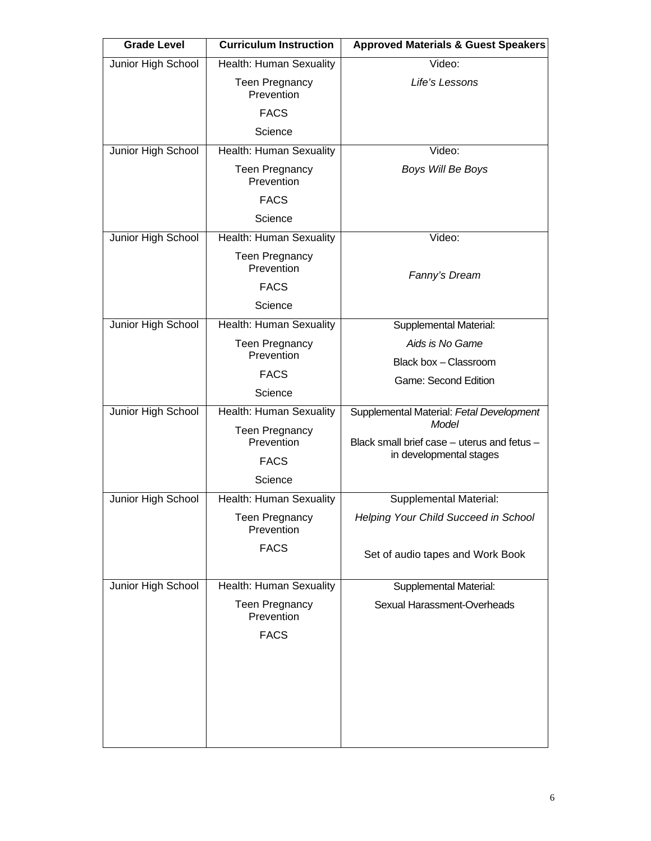| <b>Grade Level</b> | <b>Curriculum Instruction</b>       | <b>Approved Materials &amp; Guest Speakers</b> |
|--------------------|-------------------------------------|------------------------------------------------|
| Junior High School | Health: Human Sexuality             | Video:                                         |
|                    | <b>Teen Pregnancy</b><br>Prevention | Life's Lessons                                 |
|                    | <b>FACS</b>                         |                                                |
|                    | Science                             |                                                |
| Junior High School | Health: Human Sexuality             | Video:                                         |
|                    | <b>Teen Pregnancy</b><br>Prevention | Boys Will Be Boys                              |
|                    | <b>FACS</b>                         |                                                |
|                    | Science                             |                                                |
| Junior High School | Health: Human Sexuality             | Video:                                         |
|                    | <b>Teen Pregnancy</b><br>Prevention | Fanny's Dream                                  |
|                    | <b>FACS</b>                         |                                                |
|                    | Science                             |                                                |
| Junior High School | Health: Human Sexuality             | Supplemental Material:                         |
|                    | <b>Teen Pregnancy</b><br>Prevention | Aids is No Game                                |
|                    | <b>FACS</b>                         | Black box - Classroom                          |
|                    | Science                             | Game: Second Edition                           |
| Junior High School | Health: Human Sexuality             | Supplemental Material: Fetal Development       |
|                    | <b>Teen Pregnancy</b>               | Model                                          |
|                    | Prevention                          | Black small brief case - uterus and fetus -    |
|                    | <b>FACS</b>                         | in developmental stages                        |
|                    | Science                             |                                                |
| Junior High School | Health: Human Sexuality             | <b>Supplemental Material:</b>                  |
|                    | Teen Pregnancy<br>Prevention        | Helping Your Child Succeed in School           |
|                    | <b>FACS</b>                         | Set of audio tapes and Work Book               |
| Junior High School | Health: Human Sexuality             | Supplemental Material:                         |
|                    | <b>Teen Pregnancy</b><br>Prevention | Sexual Harassment-Overheads                    |
|                    | <b>FACS</b>                         |                                                |
|                    |                                     |                                                |
|                    |                                     |                                                |
|                    |                                     |                                                |
|                    |                                     |                                                |
|                    |                                     |                                                |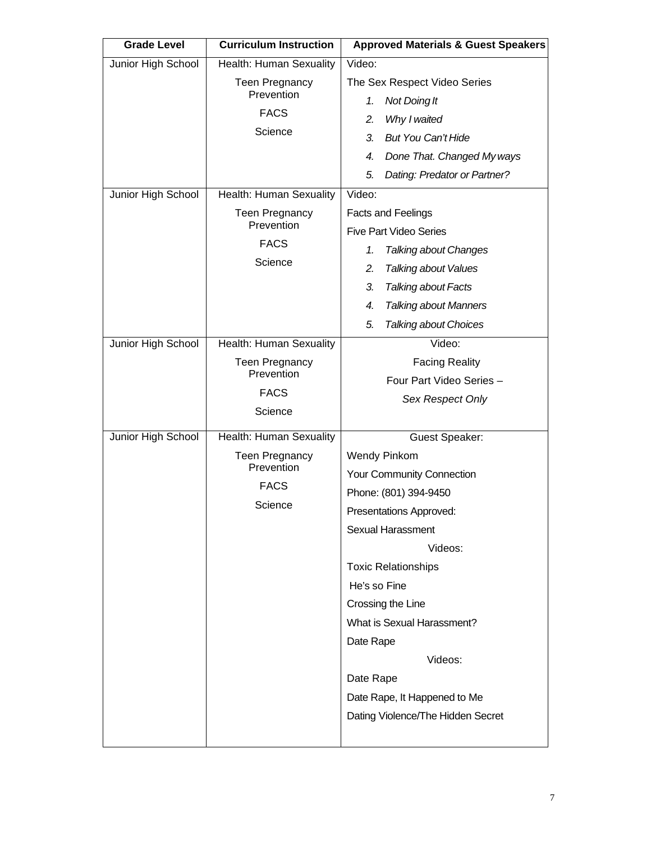| <b>Grade Level</b> | <b>Curriculum Instruction</b>                      | <b>Approved Materials &amp; Guest Speakers</b>                           |
|--------------------|----------------------------------------------------|--------------------------------------------------------------------------|
| Junior High School | Health: Human Sexuality                            | Video:                                                                   |
|                    | <b>Teen Pregnancy</b><br>Prevention<br><b>FACS</b> | The Sex Respect Video Series<br>Not Doing It<br>1.<br>2.<br>Why I waited |
|                    | Science                                            | <b>But You Can't Hide</b><br>3.                                          |
|                    |                                                    | Done That. Changed My ways<br>4.                                         |
|                    |                                                    | 5.<br>Dating: Predator or Partner?                                       |
| Junior High School | Health: Human Sexuality                            | Video:                                                                   |
|                    | <b>Teen Pregnancy</b><br>Prevention                | <b>Facts and Feelings</b><br><b>Five Part Video Series</b>               |
|                    | <b>FACS</b>                                        | <b>Talking about Changes</b><br>1.                                       |
|                    | Science                                            | 2.<br><b>Talking about Values</b>                                        |
|                    |                                                    | 3.<br><b>Talking about Facts</b>                                         |
|                    |                                                    | <b>Talking about Manners</b><br>4.                                       |
|                    |                                                    | 5.<br><b>Talking about Choices</b>                                       |
| Junior High School | Health: Human Sexuality                            | Video:                                                                   |
|                    | <b>Teen Pregnancy</b><br>Prevention                | <b>Facing Reality</b>                                                    |
|                    | <b>FACS</b>                                        | Four Part Video Series -                                                 |
|                    | Science                                            | Sex Respect Only                                                         |
|                    |                                                    |                                                                          |
| Junior High School | Health: Human Sexuality                            | <b>Guest Speaker:</b>                                                    |
|                    | <b>Teen Pregnancy</b><br>Prevention                | <b>Wendy Pinkom</b>                                                      |
|                    | <b>FACS</b>                                        | Your Community Connection                                                |
|                    | Science                                            | Phone: (801) 394-9450                                                    |
|                    |                                                    | Presentations Approved:                                                  |
|                    |                                                    | Sexual Harassment                                                        |
|                    |                                                    | Videos:                                                                  |
|                    |                                                    | <b>Toxic Relationships</b>                                               |
|                    |                                                    | He's so Fine                                                             |
|                    |                                                    | Crossing the Line<br>What is Sexual Harassment?                          |
|                    |                                                    | Date Rape                                                                |
|                    |                                                    | Videos:                                                                  |
|                    |                                                    | Date Rape                                                                |
|                    |                                                    | Date Rape, It Happened to Me                                             |
|                    |                                                    | Dating Violence/The Hidden Secret                                        |
|                    |                                                    |                                                                          |
|                    |                                                    |                                                                          |